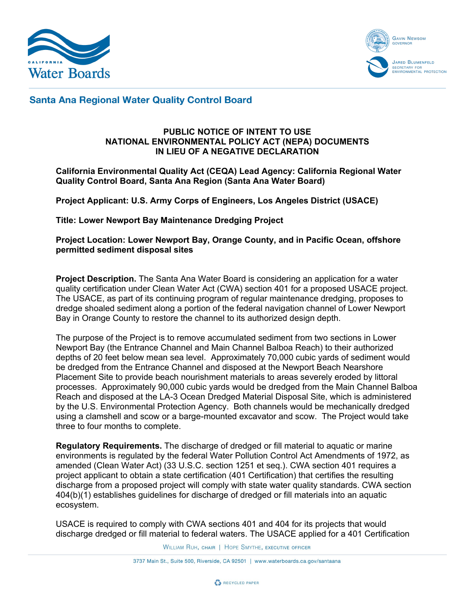



## **Santa Ana Regional Water Quality Control Board**

## **PUBLIC NOTICE OF INTENT TO USE NATIONAL ENVIRONMENTAL POLICY ACT (NEPA) DOCUMENTS IN LIEU OF A NEGATIVE DECLARATION**

## **California Environmental Quality Act (CEQA) Lead Agency: California Regional Water Quality Control Board, Santa Ana Region (Santa Ana Water Board)**

**Project Applicant: U.S. Army Corps of Engineers, Los Angeles District (USACE)**

**Title: Lower Newport Bay Maintenance Dredging Project** 

**Project Location: Lower Newport Bay, Orange County, and in Pacific Ocean, offshore permitted sediment disposal sites**

**Project Description.** The Santa Ana Water Board is considering an application for a water quality certification under Clean Water Act (CWA) section 401 for a proposed USACE project. The USACE, as part of its continuing program of regular maintenance dredging, proposes to dredge shoaled sediment along a portion of the federal navigation channel of Lower Newport Bay in Orange County to restore the channel to its authorized design depth.

The purpose of the Project is to remove accumulated sediment from two sections in Lower Newport Bay (the Entrance Channel and Main Channel Balboa Reach) to their authorized depths of 20 feet below mean sea level. Approximately 70,000 cubic yards of sediment would be dredged from the Entrance Channel and disposed at the Newport Beach Nearshore Placement Site to provide beach nourishment materials to areas severely eroded by littoral processes. Approximately 90,000 cubic yards would be dredged from the Main Channel Balboa Reach and disposed at the LA-3 Ocean Dredged Material Disposal Site, which is administered by the U.S. Environmental Protection Agency. Both channels would be mechanically dredged using a clamshell and scow or a barge-mounted excavator and scow. The Project would take three to four months to complete.

**Regulatory Requirements.** The discharge of dredged or fill material to aquatic or marine environments is regulated by the federal Water Pollution Control Act Amendments of 1972, as amended (Clean Water Act) (33 U.S.C. section 1251 et seq.). CWA section 401 requires a project applicant to obtain a state certification (401 Certification) that certifies the resulting discharge from a proposed project will comply with state water quality standards. CWA section 404(b)(1) establishes guidelines for discharge of dredged or fill materials into an aquatic ecosystem.

USACE is required to comply with CWA sections 401 and 404 for its projects that would discharge dredged or fill material to federal waters. The USACE applied for a 401 Certification

WILLIAM RUH, CHAIR | HOPE SMYTHE, EXECUTIVE OFFICER